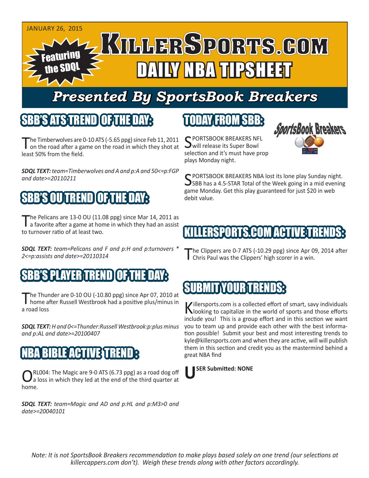

# *Presented By SportsBook Breakers*

#### SBB'S ATSTREN

he Timberwolves are 0-10 ATS (-5.65 ppg) since Feb 11, 2011 on the road after a game on the road in which they shot at least 50% from the field.

*SDQL TEXT: team=Timberwolves and A and p:A and 50<=p:FGP and date>=20110211*

# SBB'S OU TREND OF THE DAY:

The Pelicans are 13-0 OU (11.08 ppg) since Mar 14, 2011 as<br>a favorite after a game at home in which they had an assist to turnover ratio of at least two.

*SDQL TEXT: team=Pelicans and F and p:H and p:turnovers \* 2<=p:assists and date>=20110314*

#### SBB'S PLAYER TREND OF THE DAY:

The Thunder are 0-10 OU (-10.80 ppg) since Apr 07, 2010 at home after Russell Westbrook had a positive plus/minus in a road loss

*SDQL TEXT: H and 0<=Thunder:Russell Westbrook:p:plus minus and p:AL and date>=20100407*

#### BIBLEAN ET IVIE TR

CRL004: The Magic are 9-0 ATS (6.73 ppg) as a road dog off<br>
a loss in which they led at the end of the third quarter at home.

*SDQL TEXT: team=Magic and AD and p:HL and p:M3>0 and date>=20040101*

## TODAY FROM SBB:

C PORTSBOOK BREAKERS NFL will release its Super Bowl selection and it's must have prop plays Monday night.



C PORTSBOOK BREAKERS NBA lost its lone play Sunday night.  $\bigcup$ SBB has a 4.5-STAR Total of the Week going in a mid evening game Monday. Get this play guaranteed for just \$20 in web debit value.

## **LIERSPORTS.COM ACTIVET**

'he Clippers are 0-7 ATS (-10.29 ppg) since Apr 09, 2014 after Chris Paul was the Clippers' high scorer in a win.

### SUBMIT YOUR TRENDS:

Killersports.com is a collected effort of smart, savy individuals<br>Nooking to capitalize in the world of sports and those efforts include you! This is a group effort and in this section we want you to team up and provide each other with the best information possible! Submit your best and most interesting trends to kyle@killersports.com and when they are active, will will publish them in this section and credit you as the mastermind behind a great NBA find



*Note: It is not SportsBook Breakers recommendation to make plays based solely on one trend (our selections at killercappers.com don't). Weigh these trends along with other factors accordingly.*